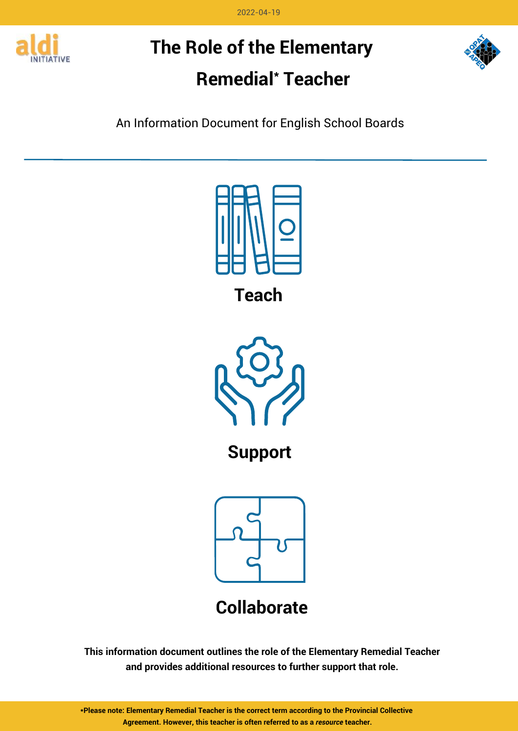2022-04-19



# **The Role of the Elementary Remedial\* Teacher**



An Information Document for English School Boards



**Teach**



**Support**





## **Collaborate**

### **This information document outlines the role of the Elementary Remedial Teacher and provides additional resources to further support that role.**

**\*Please note: Elementary Remedial Teacher is the correct term according to the Provincial Collective Agreement. However, this teacher is often referred to as a** *resource* **teacher.**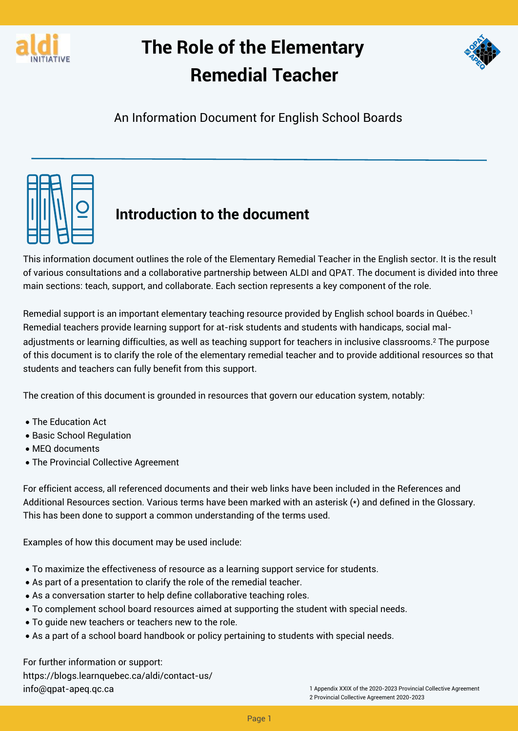



An Information Document for English School Boards



## **Introduction to the document**

This information document outlines the role of the Elementary Remedial Teacher in the English sector. It is the result of various consultations and a collaborative partnership between ALDI and QPAT. The document is divided into three main sections: teach, support, and collaborate. Each section represents a key component of the role.

Remedial support is an important elementary teaching resource provided by English school boards in Québec.<sup>1</sup> Remedial teachers provide learning support for at-risk students and students with handicaps, social maladjustments or learning difficulties, as well as teaching support for teachers in inclusive classrooms.<sup>2</sup> The purpose of this document is to clarify the role of the elementary remedial teacher and to provide additional resources so that students and teachers can fully benefit from this support.

- T. The Education Act
- T. Basic School Regulation
- $\mathcal{L}$ MEQ documents
- The Provincial Collective Agreement

- $\mathcal{L}_{\mathcal{L}}$ To maximize the effectiveness of resource as a learning support service for students.
- T. As part of a presentation to clarify the role of the remedial teacher.
- T. As a conversation starter to help define collaborative teaching roles.
- T. To complement school board resources aimed at supporting the student with special needs.
- T. To guide new teachers or teachers new to the role.
- As a part of a school board handbook or policy pertaining to students with special needs.

For further information or support: <https://blogs.learnquebec.ca/aldi/contact-us/> [info@qpat-apeq.qc.ca](mailto:%3Cinfo@qpat-apeq.qc.ca) 1 Appendix XXIX of the 2020-2023 Provincial Collective Agreement

The creation of this document is grounded in resources that govern our education system, notably:

For efficient access, all referenced documents and their web links have been included in the References and Additional Resources section. Various terms have been marked with an asterisk (\*) and defined in the Glossary. This has been done to support a common understanding of the terms used.

Examples of how this document may be used include:

2 Provincial Collective Agreement 2020-2023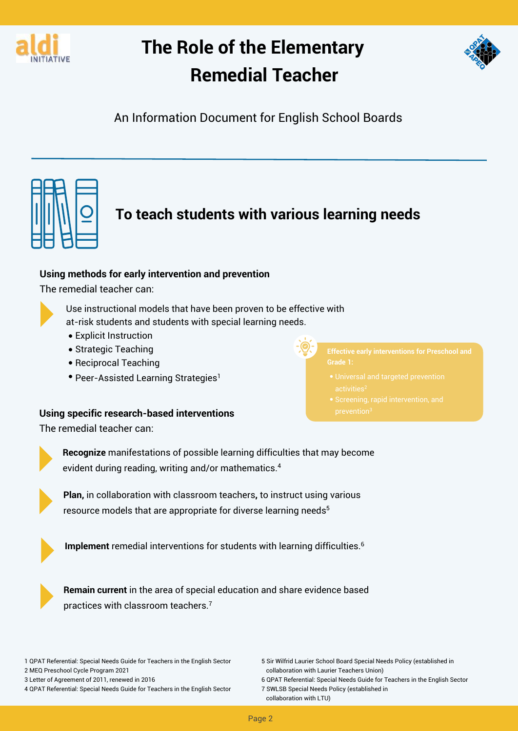



An Information Document for English School Boards



## **To teach students with various learning needs**

Use instructional models that have been proven to be effective with at-risk students and students with special learning needs.

- $\overline{\phantom{a}}$ Explicit Instruction
- $\mathcal{L}$  $\overline{a}$ • Strategic Teaching
- $\mathcal{L}_{\mathcal{L}}$ Reciprocal Teaching
- Peer-Assisted Learning Strategies<sup>1</sup>

**Plan,** in collaboration with classroom teachers**,** to instruct using various resource models that are appropriate for diverse learning needs<sup>5</sup>



#### **Using methods for early intervention and prevention**

The remedial teacher can:



**Recognize** manifestations of possible learning difficulties that may become evident during reading, writing and/or mathematics.<sup>4</sup>



#### **Using specific research-based interventions**

The remedial teacher can:



**Implement** remedial interventions for students with learning difficulties.<sup>6</sup>

**Remain current** in the area of special education and share evidence based practices with classroom teachers.<sup>7</sup>

1 QPAT Referential: Special Needs Guide for Teachers in the English Sector 2 MEQ Preschool Cycle Program 2021 3 Letter of Agreement of 2011, renewed in 2016 4 QPAT Referential: Special Needs Guide for Teachers in the English Sector 5 Sir Wilfrid Laurier School Board Special Needs Policy (established in collaboration with Laurier Teachers Union) 6 QPAT Referential: Special Needs Guide for Teachers in the English Sector 7 SWLSB Special Needs Policy (established in collaboration with LTU)

**Effective early interventions for Preschool and Grade 1:**

- Universal and targeted prevention
- prevention 3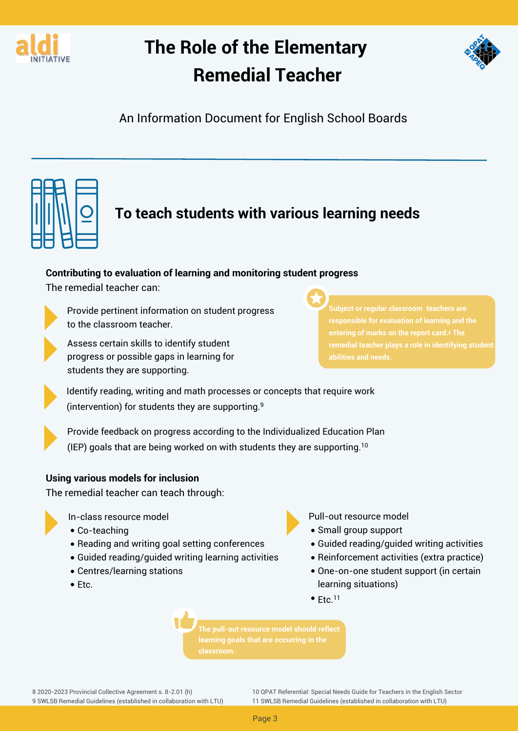



An Information Document for English School Boards



## **To teach students with various learning needs**

Provide pertinent information on student progress to the classroom teacher.



Provide feedback on progress according to the Individualized Education Plan (IEP) goals that are being worked on with students they are supporting.<sup>10</sup>

- ...<br>... In-class resource model
- $\mathcal{L}_{\mathcal{L}}$ Co-teaching
- $\mathcal{L}_{\mathcal{L}}$ Reading and writing goal setting conferences



 $\overline{\phantom{a}}$ Pull-out resource model

- $\mathcal{L}_{\mathcal{L}}$ • Small group support
- $\mathcal{L}_{\mathcal{L}}$ Guided reading/guided writing activities
- Guided reading/guided writing learning activities
- $\mathcal{L}$  $\mathcal{L}_{\mathcal{L}}$ Centres/learning stations
- Etc.

Assess certain skills to identify student progress or possible gaps in learning for students they are supporting.

- $\mathcal{L}_{\mathcal{L}}$ Reinforcement activities (extra practice)
- One-on-one student support (in certain learning situations)

 $Etc.<sup>11</sup>$ 

Identify reading, writing and math processes or concepts that require work (intervention) for students they are supporting.<sup>9</sup>



#### **Contributing to evaluation of learning and monitoring student progress**

The remedial teacher can:



**Subject or regular classroom teachers are responsible for evaluation of learning and the entering of marks on the report card.<sup>8</sup> The remedial teacher plays a role in identifying student abilities and needs.**

#### **Using various models for inclusion**

The remedial teacher can teach through:



**The pull-out resource model should reflect learning goals that are occurring in the classroom.**

8 2020-2023 Provincial Collective Agreement s. 8-2.01 (h) 9 SWLSB Remedial Guidelines (established in collaboration with LTU)

10 QPAT Referential: Special Needs Guide for Teachers in the English Sector 11 SWLSB Remedial Guidelines (established in collaboration with LTU)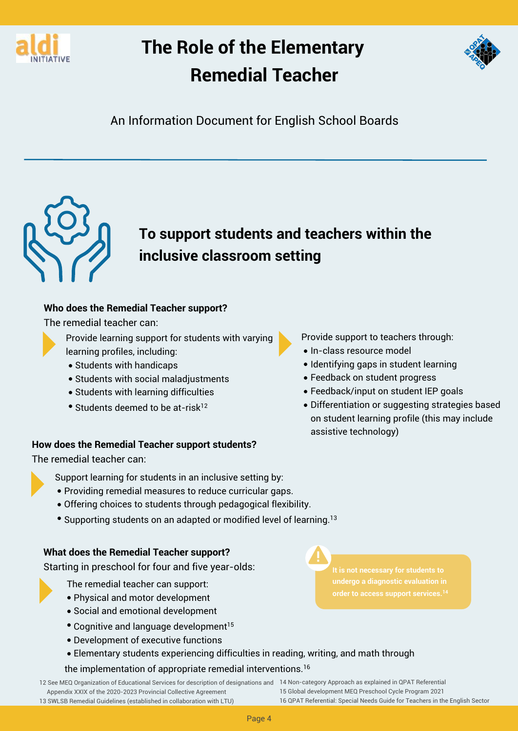



An Information Document for English School Boards



## **To support students and teachers within the inclusive classroom setting**

#### **Who does the Remedial Teacher support?**

The remedial teacher can:

11 Provide support to teachers through:



- T. Students with handicaps
- $\mathcal{L}$ Students with social maladjustments
- T. Students with learning difficulties
- Students deemed to be at-risk<sup>12</sup>
- $\mathcal{L}$ • In-class resource model
- T. Identifying gaps in student learning
- $\mathcal{L}_{\mathcal{A}}$ Feedback on student progress
- Feedback/input on student IEP goals
- $\overline{a}$ Differentiation or suggesting strategies based on student learning profile (this may include assistive technology)



- Ξ, The remedial teacher can support:
- Physical and motor development
- $\mathcal{L}_{\mathcal{A}}$  $\mathcal{L}$ Social and emotional development
- Cognitive and language development<sup>15</sup>
- T. Development of executive functions
- Elementary students experiencing difficulties in reading, writing, and math through

**It is not necessary for students to undergo a diagnostic evaluation in order to access support services.<sup>14</sup>**

#### **How does the Remedial Teacher support students?**

The remedial teacher can:



- $\overline{\phantom{a}}$ Support learning for students in an inclusive setting by:
- $\mathcal{L}$ Providing remedial measures to reduce curricular gaps.
- T. Offering choices to students through pedagogical flexibility.
- Supporting students on an adapted or modified level of learning.  $^{13}$

the implementation of appropriate remedial interventions.<sup>16</sup>

**What does the Remedial Teacher support?**

Starting in preschool for four and five year-olds:

12 See MEQ Organization of Educational Services for description of designations and 14 Non-category Approach as explained in QPAT Referential Appendix XXIX of the 2020-2023 Provincial Collective Agreement 13 SWLSB Remedial Guidelines (established in collaboration with LTU)

15 Global development MEQ Preschool Cycle Program 2021 16 QPAT Referential: Special Needs Guide for Teachers in the English Sector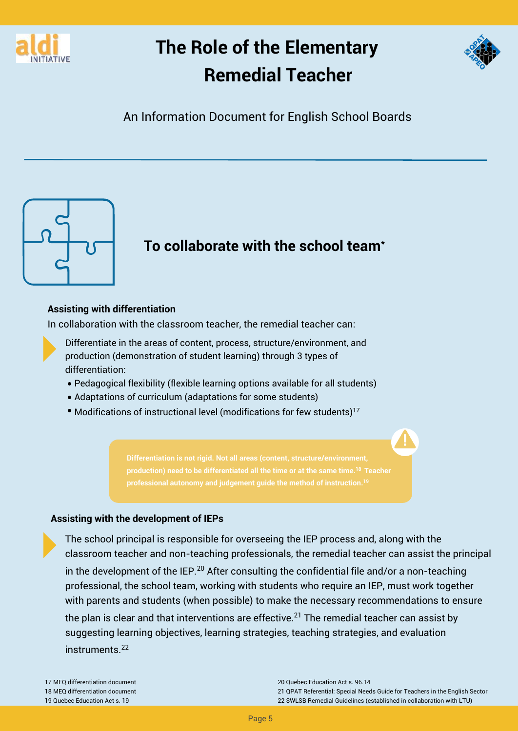



An Information Document for English School Boards



### **To collaborate with the school team\***

#### **Assisting with differentiation**

In collaboration with the classroom teacher, the remedial teacher can:



- T. Pedagogical flexibility (flexible learning options available for all students)
- T. Adaptations of curriculum (adaptations for some students)
- Modifications of instructional level (modifications for few students) $^{17}$

- classroom teacher and non-teaching professionals, the remedial teacher can assist the principal in the development of the IEP.<sup>20</sup> After consulting the confidential file and/or a non-teaching professional, the school team, working with students who require an IEP, must work together with parents and students (when possible) to make the necessary recommendations to ensure the plan is clear and that interventions are effective.<sup>21</sup> The remedial teacher can assist by
- suggesting learning objectives, learning strategies, teaching strategies, and evaluation instruments.<sup>22</sup>

**Differentiation is not rigid. Not all areas (content, structure/environment, production) need to be differentiated all the time or at the same time.<sup>18</sup>Teacher professional autonomy and judgement guide the method of instruction.<sup>19</sup>**

17 MEQ differentiation document 18 MEQ differentiation document 19 Quebec Education Act s. 19

The school principal is responsible for overseeing the IEP process and, along with the

20 Quebec Education Act s. 96.14

21 QPAT Referential: Special Needs Guide for Teachers in the English Sector 22 SWLSB Remedial Guidelines (established in collaboration with LTU)

#### **Assisting with the development of IEPs**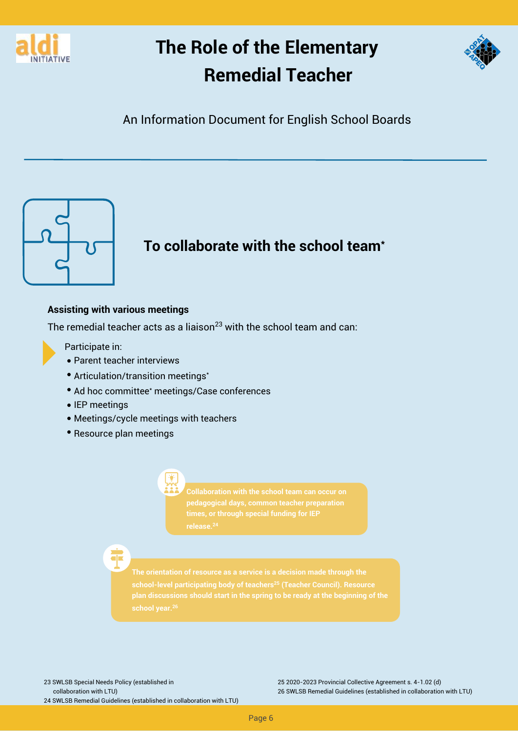



An Information Document for English School Boards



### **To collaborate with the school team\***

#### **Assisting with various meetings**

The remedial teacher acts as a liaison<sup>23</sup> with the school team and can:

- $\overline{\phantom{a}}$ T. Parent teacher interviews
- $\mathbb{R}^2$ Articulation/transition meetings\*
- $\mathbb{R}^2$ Ad hoc committee\* meetings/Case conferences
- T. • IEP meetings
- $\mathcal{L}_{\mathcal{A}}$ Meetings/cycle meetings with teachers
- Resource plan meetings

Participate in:

23 SWLSB Special Needs Policy (established in collaboration with LTU) 24 SWLSB Remedial Guidelines (established in collaboration with LTU) 25 2020-2023 Provincial Collective Agreement s. 4-1.02 (d) 26 SWLSB Remedial Guidelines (established in collaboration with LTU)

**The orientation of resource as a service is a decision made through the school-level participating body of teachers<sup>25</sup> (Teacher Council). Resource plan discussions should start in the spring to be ready at the beginning of the school year.<sup>26</sup>**

**Collaboration with the school team can occur on pedagogical days, common teacher preparation times, or through special funding for IEP**



Page 6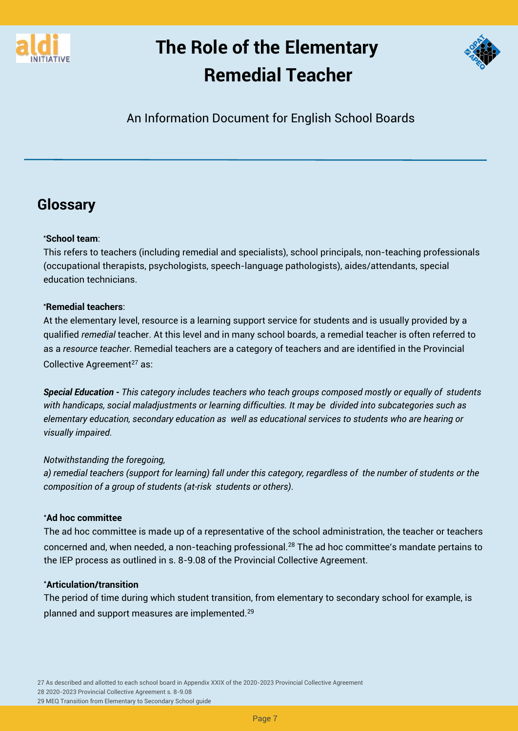



An Information Document for English School Boards

### **Glossary**

#### **\*School team**:

At the elementary level, resource is a learning support service for students and is usually provided by a qualified *remedial* teacher. At this level and in many school boards, a remedial teacher is often referred to as a *resource teacher*. Remedial teachers are a category of teachers and are identified in the Provincial Collective Agreement<sup>27</sup> as:

This refers to teachers (including remedial and specialists), school principals, non-teaching professionals (occupational therapists, psychologists, speech-language pathologists), aides/attendants, special education technicians.

#### **\*Remedial teachers**:

The ad hoc committee is made up of a representative of the school administration, the teacher or teachers concerned and, when needed, a non-teaching professional.<sup>28</sup> The ad hoc committee's mandate pertains to

*Special Education - This category includes teachers who teach groups composed mostly or equally of students with handicaps, social maladjustments or learning difficulties. It may be divided into subcategories such as elementary education, secondary education as well as educational services to students who are hearing or visually impaired.*

#### *Notwithstanding the foregoing,*

*a) remedial teachers (support for learning) fall under this category, regardless of the number of students or the composition of a group of students (at-risk students or others)*.

#### **\*Ad hoc committee**

the IEP process as outlined in s. 8-9.08 of the Provincial Collective Agreement.

#### **\*Articulation/transition**

The period of time during which student transition, from elementary to secondary school for example, is

planned and support measures are implemented.<sup>29</sup>

27 As described and allotted to each school board in Appendix XXIX of the 2020-2023 Provincial Collective Agreement 28 2020-2023 Provincial Collective Agreement s. 8-9.08 29 MEQ Transition from Elementary to Secondary School guide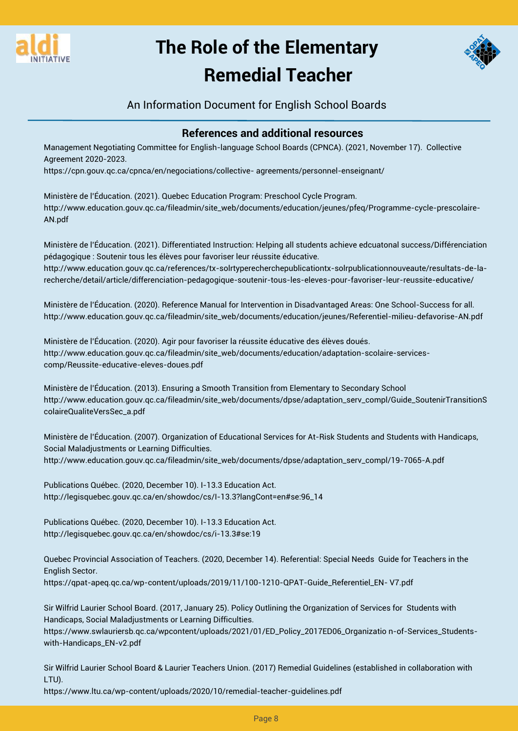



An Information Document for English School Boards

### **References and additional resources**

Management Negotiating Committee for English-language School Boards (CPNCA). (2021, November 17). Collective Agreement 2020-2023. [https://cpn.gouv.qc.ca/cpnca/en/negociations/collective-](https://cpn.gouv.qc.ca/cpnca/en/negociations/collective-agreements/personnel-enseignant/) agreements/personnel-enseignant/

Ministère de l'Éducation. (2021). Quebec Education Program: Preschool Cycle Program. [http://www.education.gouv.qc.ca/fileadmin/site\\_web/documents/education/je](http://www.education.gouv.qc.ca/fileadmin/site_web/documents/education/jeunes/pfeq/Programme-cycle-prescolaire-AN.pdf)unes/pfeq/Programme-cycle-prescolaire-AN.pdf

Ministère de l'Éducation. (2021). Differentiated Instruction: Helping all students achieve edcuatonal success/Différenciation pédagogique : Soutenir tous les élèves pour favoriser leur réussite éducative. [http://www.education.gouv.qc.ca/references/tx-solrtyperecherchepublicationtx-solrpublicationnouveaute/resultats-de-la](http://www.education.gouv.qc.ca/references/tx-solrtyperecherchepublicationtx-solrpublicationnouveaute/resultats-de-la-recherche/detail/article/differenciation-pedagogique-soutenir-tous-les-eleves-pour-favoriser-leur-reussite-educative/)recherche/detail/article/differenciation-pedagogique-soutenir-tous-les-eleves-pour-favoriser-leur-reussite-educative/

Ministère de l'Éducation. (2020). Reference Manual for Intervention in Disadvantaged Areas: One School-Success for all. [http://www.education.gouv.qc.ca/fileadmin/site\\_web/documents/education/jeunes/Referentiel-milieu-defavorise-AN.pdf](http://www.education.gouv.qc.ca/fileadmin/site_web/documents/education/jeunes/Referentiel-milieu-defavorise-AN.pdf)

Ministère de l'Éducation. (2020). Agir pour favoriser la réussite éducative des élèves doués. [http://www.education.gouv.qc.ca/fileadmin/site\\_web/documents/education/adaptation-scolaire-services](http://www.education.gouv.qc.ca/fileadmin/site_web/documents/education/adaptation-scolaire-services-comp/Reussite-educative-eleves-doues.pdf)comp/Reussite-educative-eleves-doues.pdf

Ministère de l'Éducation. (2013). Ensuring a Smooth Transition from Elementary to Secondary School [http://www.education.gouv.qc.ca/fileadmin/site\\_web/documents/dpse/adaptation\\_serv\\_compl/Guide\\_SoutenirTransitionS](http://www.education.gouv.qc.ca/fileadmin/site_web/documents/dpse/adaptation_serv_compl/Guide_SoutenirTransitionScolaireQualiteVersSec_a.pdf) colaireQualiteVersSec\_a.pdf

Ministère de l'Éducation. (2007). Organization of Educational Services for At-Risk Students and Students with Handicaps, Social Maladjustments or Learning Difficulties. [http://www.education.gouv.qc.ca/fileadmin/site\\_web/documents/dpse/adaptation\\_serv\\_compl/19-7065-A.pdf](http://www.education.gouv.qc.ca/fileadmin/site_web/documents/dpse/adaptation_serv_compl/19-7065-A.pdf)

Publications Québec. (2020, December 10). I-13.3 Education Act. [http://legisquebec.gouv.qc.ca/en/showdoc/cs/I-13.3?langCont=en#se:96\\_14](http://legisquebec.gouv.qc.ca/en/showdoc/cs/I-13.3?langCont=en#se:96_14)

Publications Québec. (2020, December 10). I-13.3 Education Act. <http://legisquebec.gouv.qc.ca/en/showdoc/cs/i-13.3#se:19>

Quebec Provincial Association of Teachers. (2020, December 14). Referential: Special Needs Guide for Teachers in the English Sector.

[https://qpat-apeq.qc.ca/wp-content/uploads/2019/11/100-1210-QPAT-Guide\\_Referentiel\\_EN-](https://qpat-apeq.qc.ca/wp-content/uploads/2019/11/100-1210-QPAT-Guide_Referentiel_EN-V7.pdf) V7.pdf

Sir Wilfrid Laurier School Board. (2017, January 25). Policy Outlining the Organization of Services for Students with Handicaps, Social Maladjustments or Learning Difficulties.

[https://www.swlauriersb.qc.ca/wpcontent/uploads/2021/01/ED\\_Policy\\_2017ED06\\_Organizatio](https://www.swlauriersb.qc.ca/wp-content/uploads/2021/01/ED_Policy_2017ED06_Organization-of-Services_Students-with-Handicaps_EN-v2.pdf) n-of-Services\_Studentswith-Handicaps\_EN-v2.pdf

Sir Wilfrid Laurier School Board & Laurier Teachers Union. (2017) Remedial Guidelines (established in collaboration with LTU).

<https://www.ltu.ca/wp-content/uploads/2020/10/remedial-teacher-guidelines.pdf>